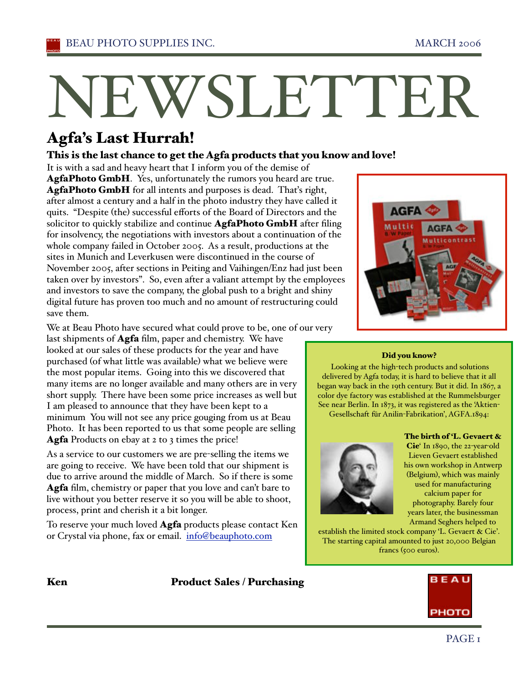# NEWSLETTER

# Agfa's Last Hurrah!

## This is the last chance to get the Agfa products that you know and love!

It is with a sad and heavy heart that I inform you of the demise of AgfaPhoto GmbH. Yes, unfortunately the rumors you heard are true. AgfaPhoto GmbH for all intents and purposes is dead. Thaťs right, after almost a century and a half in the photo industry they have called it quits. "Despite (the) successful efforts of the Board of Directors and the solicitor to quickly stabilize and continue **AgfaPhoto GmbH** after filing for insolvency, the negotiations with investors about a continuation of the whole company failed in October 2005. As a result, productions at the sites in Munich and Leverkusen were discontinued in the course of November 2005, after sections in Peiting and Vaihingen/Enz had just been taken over by investors". So, even after a valiant attempt by the employees and investors to save the company, the global push to a bright and shiny digital future has proven too much and no amount of restructuring could save them.



We at Beau Photo have secured what could prove to be, one of our very

last shipments of **Agfa** film, paper and chemistry. We have looked at our sales of these products for the year and have purchased (of what little was available) what we believe were the most popular items. Going into this we discovered that many items are no longer available and many others are in very short supply. There have been some price increases as well but I am pleased to announce that they have been kept to a minimum You will not see any price gouging from us at Beau Photo. It has been reported to us that some people are selling Agfa Products on ebay at 2 to 3 times the price!

As a service to our customers we are pre-selling the items we are going to receive. We have been told that our shipment is due to arrive around the middle of March. So if there is some Agfa film, chemistry or paper that you love and can't bare to live without you better reserve it so you will be able to shoot, process, print and cherish it a bit longer.

To reserve your much loved Agfa products please contact Ken or Crystal via phone, fax or email. info@beauphoto.com

### Did you know?

 Looking at the high-tech products and solutions delivered by Agfa today, it is hard to believe that it all began way back in the 19th century. But it did. In 1867, a color dye factory was established at the Rummelsburger See near Berlin. In 1873, it was registered as the 'Aktien-Gesellschaft für Anilin-Fabrikation', AGFA.1894:

The birth of 'L. Gevaert &



Cie' In 1890, the 22-year-old Lieven Gevaert established his own workshop in Antwerp (Belgium), which was mainly used for manufacturing calcium paper for photography. Barely four years later, the businessman Armand Seghers helped to

establish the limited stock company 'L. Gevaert & Cie'. The starting capital amounted to just 20,000 Belgian francs (500 euros).

# Ken Product Sales / Purchasing

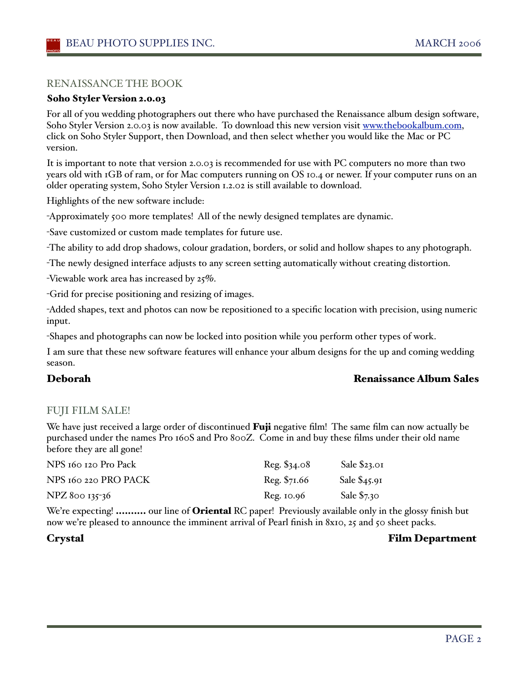### RENAISSANCE THE BOOK

### Soho Styler Version 2.0.03

For all of you wedding photographers out there who have purchased the Renaissance album design software, Soho Styler Version 2.0.03 is now available. To download this new version visit www.thebookalbum.com, click on Soho Styler Support, then Download, and then select whether you would like the Mac or PC version.

It is important to note that version 2.0.03 is recommended for use with PC computers no more than two years old with 1GB of ram, or for Mac computers running on OS 10.4 or newer. If your computer runs on an older operating system, Soho Styler Version 1.2.02 is still available to download.

Highlights of the new software include:

-Approximately 500 more templates! All of the newly designed templates are dynamic.

-Save customized or custom made templates for future use.

-The ability to add drop shadows, colour gradation, borders, or solid and hollow shapes to any photograph.

-The newly designed interface adjusts to any screen setting automatically without creating distortion.

-Viewable work area has increased by 25%.

-Grid for precise positioning and resizing of images.

-Added shapes, text and photos can now be repositioned to a specific location with precision, using numeric input.

-Shapes and photographs can now be locked into position while you perform other types of work.

I am sure that these new software features will enhance your album designs for the up and coming wedding season.

### Deborah Renaissance Album Sales

### FUJI FILM SALE!

We have just received a large order of discontinued **Fuji** negative film! The same film can now actually be purchased under the names Pro 160S and Pro 800Z. Come in and buy these films under their old name before they are all gone!

| NPS 160 120 Pro Pack | Reg. \$34.08 | Sale \$23.01  |
|----------------------|--------------|---------------|
| NPS 160 220 PRO PACK | Reg. \$71.66 | Sale $$45.91$ |
| NPZ 800 135-36       | Reg. 10.96   | Sale $$7.30$  |

We're expecting! .......... our line of Oriental RC paper! Previously available only in the glossy finish but now we're pleased to announce the imminent arrival of Pearl finish in 8x10, 25 and 50 sheet packs.

### Crystal Film Department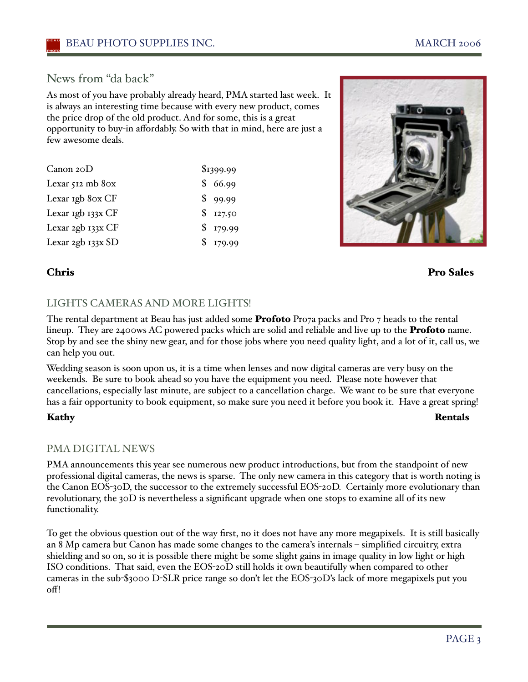# News from "da back"

As most of you have probably already heard, PMA started last week. It is always an interesting time because with every new product, comes the price drop of the old product. And for some, this is a great opportunity to buy-in affordably. So with that in mind, here are just a few awesome deals.

| Canon $20D$          | \$1399.99 |
|----------------------|-----------|
| Lexar $512$ mb $80x$ | \$66.99   |
| Lexar 1gb 8ox CF     | \$99.99   |
| Lexar 1gb 133x CF    | \$127.50  |
| Lexar 2gb 133x CF    | \$179.99  |
| Lexar 2gb 133x SD    | \$179.99  |



### Chris Pro Sales

### LIGHTS CAMERAS AND MORE LIGHTS!

The rental department at Beau has just added some **Profoto** Pro $7$  packs and Pro  $7$  heads to the rental lineup. They are 2400ws AC powered packs which are solid and reliable and live up to the **Profoto** name. Stop by and see the shiny new gear, and for those jobs where you need quality light, and a lot of it, call us, we can help you out.

Wedding season is soon upon us, it is a time when lenses and now digital cameras are very busy on the weekends. Be sure to book ahead so you have the equipment you need. Please note however that cancellations, especially last minute, are subject to a cancellation charge. We want to be sure that everyone has a fair opportunity to book equipment, so make sure you need it before you book it. Have a great spring!

Kathy Rentals

### PMA DIGITAL NEWS

PMA announcements this year see numerous new product introductions, but from the standpoint of new professional digital cameras, the news is sparse. The only new camera in this category that is worth noting is the Canon EOS-30D, the successor to the extremely successful EOS-20D. Certainly more evolutionary than revolutionary, the 30D is nevertheless a significant upgrade when one stops to examine all of its new functionality.

To get the obvious question out of the way first, no it does not have any more megapixels. It is still basically an 8 Mp camera but Canon has made some changes to the camera's internals – simplified circuitry, extra shielding and so on, so it is possible there might be some slight gains in image quality in low light or high ISO conditions. That said, even the EOS-20D still holds it own beautifully when compared to other cameras in the sub-\$3000 D-SLR price range so don't let the EOS-30D's lack of more megapixels put you  $\alpha$ fl